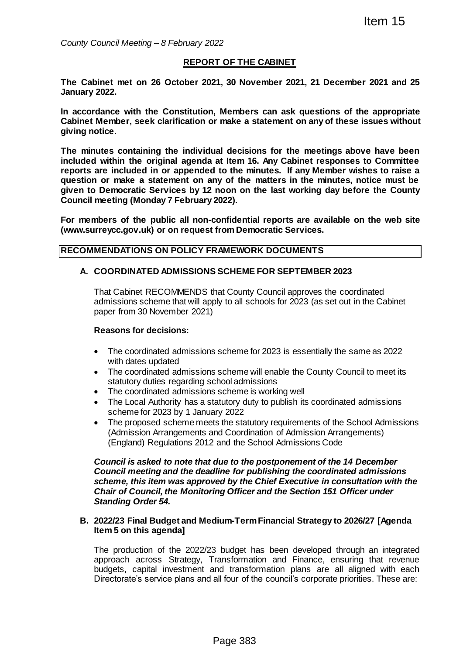*County Council Meeting – 8 February 2022*

#### **REPORT OF THE CABINET**

**The Cabinet met on 26 October 2021, 30 November 2021, 21 December 2021 and 25 January 2022.** 

**In accordance with the Constitution, Members can ask questions of the appropriate Cabinet Member, seek clarification or make a statement on any of these issues without giving notice.**

**The minutes containing the individual decisions for the meetings above have been included within the original agenda at Item 16. Any Cabinet responses to Committee reports are included in or appended to the minutes. If any Member wishes to raise a question or make a statement on any of the matters in the minutes, notice must be given to Democratic Services by 12 noon on the last working day before the County Council meeting (Monday 7 February 2022).** Item 15<br>
222<br>
222<br>
21 TOF THE CABINET<br>
21, 30 November 2021, 21 December 2021 and<br>
21, 30 November 2021, 21 December 2021 and<br>
21, 30 November 2021, 21 December 2021 and<br>
21, 40 November 2021, 21 December Walses in the<br>
21

**For members of the public all non-confidential reports are available on the web site (www.surreycc.gov.uk) or on request from Democratic Services.**

#### **RECOMMENDATIONS ON POLICY FRAMEWORK DOCUMENTS**

#### **A. COORDINATED ADMISSIONS SCHEME FOR SEPTEMBER 2023**

That Cabinet RECOMMENDS that County Council approves the coordinated admissions scheme that will apply to all schools for 2023 (as set out in the Cabinet paper from 30 November 2021)

#### **Reasons for decisions:**

- The coordinated admissions scheme for 2023 is essentially the same as 2022 with dates updated
- The coordinated admissions scheme will enable the County Council to meet its statutory duties regarding school admissions
- The coordinated admissions scheme is working well
- The Local Authority has a statutory duty to publish its coordinated admissions scheme for 2023 by 1 January 2022
- The proposed scheme meets the statutory requirements of the School Admissions (Admission Arrangements and Coordination of Admission Arrangements) (England) Regulations 2012 and the School Admissions Code

*Council is asked to note that due to the postponement of the 14 December Council meeting and the deadline for publishing the coordinated admissions scheme, this item was approved by the Chief Executive in consultation with the Chair of Council, the Monitoring Officer and the Section 151 Officer under Standing Order 54.*

#### **B. 2022/23 Final Budget and Medium-Term Financial Strategy to 2026/27 [Agenda Item 5 on this agenda]**

The production of the 2022/23 budget has been developed through an integrated approach across Strategy, Transformation and Finance, ensuring that revenue budgets, capital investment and transformation plans are all aligned with each Directorate's service plans and all four of the council's corporate priorities. These are: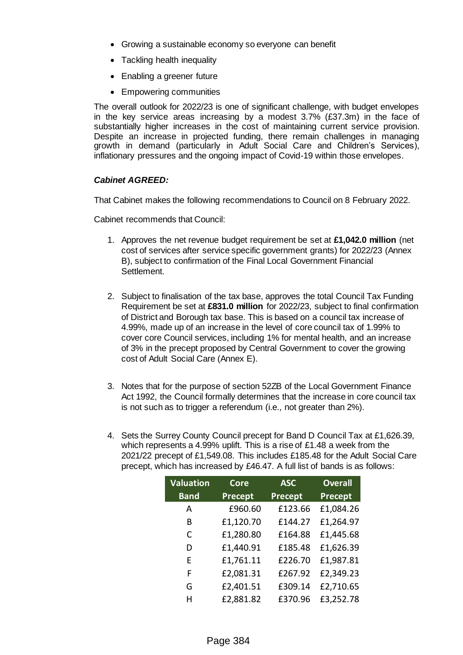- Growing a sustainable economy so everyone can benefit
- Tackling health inequality
- Enabling a greener future
- Empowering communities

The overall outlook for 2022/23 is one of significant challenge, with budget envelopes in the key service areas increasing by a modest 3.7% (£37.3m) in the face of substantially higher increases in the cost of maintaining current service provision. Despite an increase in projected funding, there remain challenges in managing growth in demand (particularly in Adult Social Care and Children's Services), inflationary pressures and the ongoing impact of Covid-19 within those envelopes.

## *Cabinet AGREED:*

That Cabinet makes the following recommendations to Council on 8 February 2022.

Cabinet recommends that Council:

- 1. Approves the net revenue budget requirement be set at **£1,042.0 million** (net cost of services after service specific government grants) for 2022/23 (Annex B), subject to confirmation of the Final Local Government Financial Settlement.
- 2. Subject to finalisation of the tax base, approves the total Council Tax Funding Requirement be set at **£831.0 million** for 2022/23, subject to final confirmation of District and Borough tax base. This is based on a council tax increase of 4.99%, made up of an increase in the level of core council tax of 1.99% to cover core Council services, including 1% for mental health, and an increase of 3% in the precept proposed by Central Government to cover the growing cost of Adult Social Care (Annex E).
- 3. Notes that for the purpose of section 52ZB of the Local Government Finance Act 1992, the Council formally determines that the increase in core council tax is not such as to trigger a referendum (i.e., not greater than 2%).
- 4. Sets the Surrey County Council precept for Band D Council Tax at £1,626.39, which represents a 4.99% uplift. This is a rise of £1.48 a week from the 2021/22 precept of £1,549.08. This includes £185.48 for the Adult Social Care precept, which has increased by £46.47. A full list of bands is as follows:

| <b>Valuation</b> | <b>Core</b> | <b>ASC</b> | <b>Overall</b> |
|------------------|-------------|------------|----------------|
| <b>Band</b>      | Precept     | Precept    | Precept        |
| A                | £960.60     | £123.66    | £1,084.26      |
| В                | £1,120.70   | £144.27    | £1,264.97      |
| C                | £1,280.80   | £164.88    | £1,445.68      |
| D                | £1,440.91   | £185.48    | £1,626.39      |
| F                | £1,761.11   | £226.70    | £1,987.81      |
| F                | £2,081.31   | £267.92    | £2,349.23      |
| G                | £2,401.51   | £309.14    | £2,710.65      |
| н                | £2,881.82   | £370.96    | £3,252.78      |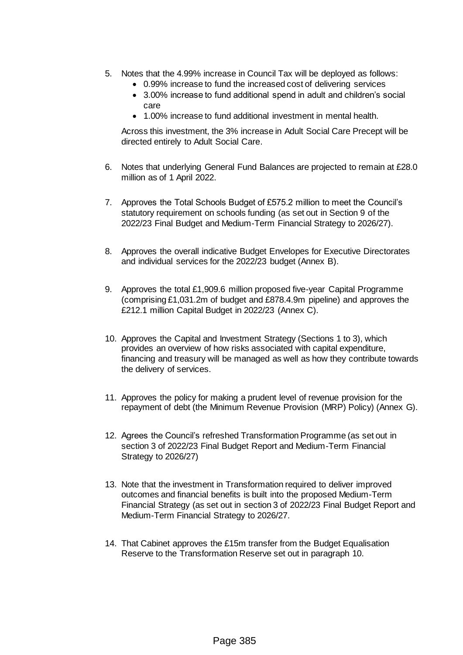- 5. Notes that the 4.99% increase in Council Tax will be deployed as follows:
	- 0.99% increase to fund the increased cost of delivering services
	- 3.00% increase to fund additional spend in adult and children's social care
	- 1.00% increase to fund additional investment in mental health.

Across this investment, the 3% increase in Adult Social Care Precept will be directed entirely to Adult Social Care.

- 6. Notes that underlying General Fund Balances are projected to remain at £28.0 million as of 1 April 2022.
- 7. Approves the Total Schools Budget of £575.2 million to meet the Council's statutory requirement on schools funding (as set out in Section 9 of the 2022/23 Final Budget and Medium-Term Financial Strategy to 2026/27).
- 8. Approves the overall indicative Budget Envelopes for Executive Directorates and individual services for the 2022/23 budget (Annex B).
- 9. Approves the total £1,909.6 million proposed five-year Capital Programme (comprising £1,031.2m of budget and £878.4.9m pipeline) and approves the £212.1 million Capital Budget in 2022/23 (Annex C).
- 10. Approves the Capital and Investment Strategy (Sections 1 to 3), which provides an overview of how risks associated with capital expenditure, financing and treasury will be managed as well as how they contribute towards the delivery of services.
- 11. Approves the policy for making a prudent level of revenue provision for the repayment of debt (the Minimum Revenue Provision (MRP) Policy) (Annex G).
- 12. Agrees the Council's refreshed Transformation Programme (as set out in section 3 of 2022/23 Final Budget Report and Medium-Term Financial Strategy to 2026/27)
- 13. Note that the investment in Transformation required to deliver improved outcomes and financial benefits is built into the proposed Medium-Term Financial Strategy (as set out in section 3 of 2022/23 Final Budget Report and Medium-Term Financial Strategy to 2026/27.
- 14. That Cabinet approves the £15m transfer from the Budget Equalisation Reserve to the Transformation Reserve set out in paragraph 10.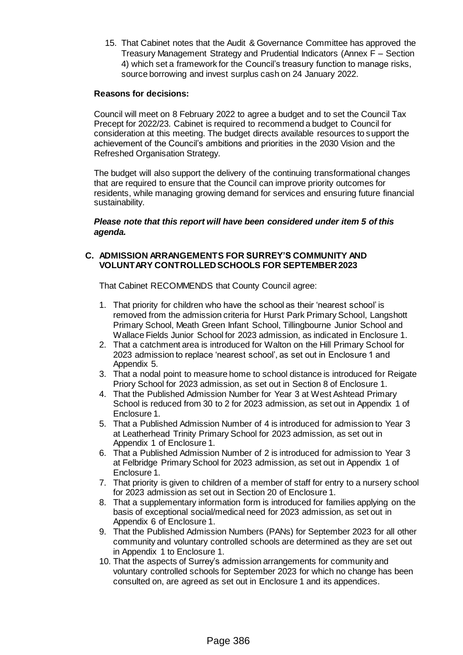15. That Cabinet notes that the Audit & Governance Committee has approved the Treasury Management Strategy and Prudential Indicators (Annex F – Section 4) which set a framework for the Council's treasury function to manage risks, source borrowing and invest surplus cash on 24 January 2022.

#### **Reasons for decisions:**

Council will meet on 8 February 2022 to agree a budget and to set the Council Tax Precept for 2022/23. Cabinet is required to recommend a budget to Council for consideration at this meeting. The budget directs available resources to support the achievement of the Council's ambitions and priorities in the 2030 Vision and the Refreshed Organisation Strategy.

The budget will also support the delivery of the continuing transformational changes that are required to ensure that the Council can improve priority outcomes for residents, while managing growing demand for services and ensuring future financial sustainability.

#### *Please note that this report will have been considered under item 5 of this agenda.*

## **C. ADMISSION ARRANGEMENTS FOR SURREY'S COMMUNITY AND VOLUNTARY CONTROLLED SCHOOLS FOR SEPTEMBER 2023**

That Cabinet RECOMMENDS that County Council agree:

- 1. That priority for children who have the school as their 'nearest school' is removed from the admission criteria for Hurst Park Primary School, Langshott Primary School, Meath Green Infant School, Tillingbourne Junior School and Wallace Fields Junior School for 2023 admission, as indicated in Enclosure 1.
- 2. That a catchment area is introduced for Walton on the Hill Primary School for 2023 admission to replace 'nearest school', as set out in Enclosure 1 and Appendix 5.
- 3. That a nodal point to measure home to school distance is introduced for Reigate Priory School for 2023 admission, as set out in Section 8 of Enclosure 1.
- 4. That the Published Admission Number for Year 3 at West Ashtead Primary School is reduced from 30 to 2 for 2023 admission, as set out in Appendix 1 of Enclosure 1.
- 5. That a Published Admission Number of 4 is introduced for admission to Year 3 at Leatherhead Trinity Primary School for 2023 admission, as set out in Appendix 1 of Enclosure 1.
- 6. That a Published Admission Number of 2 is introduced for admission to Year 3 at Felbridge Primary School for 2023 admission, as set out in Appendix 1 of Enclosure 1.
- 7. That priority is given to children of a member of staff for entry to a nursery school for 2023 admission as set out in Section 20 of Enclosure 1.
- 8. That a supplementary information form is introduced for families applying on the basis of exceptional social/medical need for 2023 admission, as set out in Appendix 6 of Enclosure 1.
- 9. That the Published Admission Numbers (PANs) for September 2023 for all other community and voluntary controlled schools are determined as they are set out in Appendix 1 to Enclosure 1.
- 10. That the aspects of Surrey's admission arrangements for community and voluntary controlled schools for September 2023 for which no change has been consulted on, are agreed as set out in Enclosure 1 and its appendices.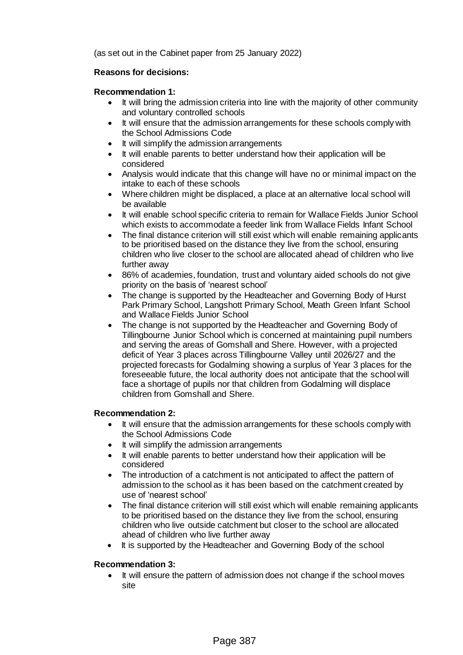(as set out in the Cabinet paper from 25 January 2022)

### **Reasons for decisions:**

### **Recommendation 1:**

- It will bring the admission criteria into line with the majority of other community and voluntary controlled schools
- It will ensure that the admission arrangements for these schools comply with the School Admissions Code
- It will simplify the admission arrangements
- It will enable parents to better understand how their application will be considered
- Analysis would indicate that this change will have no or minimal impact on the intake to each of these schools
- Where children might be displaced, a place at an alternative local school will be available
- It will enable school specific criteria to remain for Wallace Fields Junior School which exists to accommodate a feeder link from Wallace Fields Infant School
- The final distance criterion will still exist which will enable remaining applicants to be prioritised based on the distance they live from the school, ensuring children who live closer to the school are allocated ahead of children who live further away
- 86% of academies, foundation, trust and voluntary aided schools do not give priority on the basis of 'nearest school'
- The change is supported by the Headteacher and Governing Body of Hurst Park Primary School, Langshott Primary School, Meath Green Infant School and Wallace Fields Junior School
- The change is not supported by the Headteacher and Governing Body of Tillingbourne Junior School which is concerned at maintaining pupil numbers and serving the areas of Gomshall and Shere. However, with a projected deficit of Year 3 places across Tillingbourne Valley until 2026/27 and the projected forecasts for Godalming showing a surplus of Year 3 places for the foreseeable future, the local authority does not anticipate that the school will face a shortage of pupils nor that children from Godalming will displace children from Gomshall and Shere.

#### **Recommendation 2:**

- It will ensure that the admission arrangements for these schools comply with the School Admissions Code
- It will simplify the admission arrangements
- It will enable parents to better understand how their application will be considered
- The introduction of a catchment is not anticipated to affect the pattern of admission to the school as it has been based on the catchment created by use of 'nearest school'
- The final distance criterion will still exist which will enable remaining applicants to be prioritised based on the distance they live from the school, ensuring children who live outside catchment but closer to the school are allocated ahead of children who live further away
- It is supported by the Headteacher and Governing Body of the school

#### **Recommendation 3:**

• It will ensure the pattern of admission does not change if the school moves site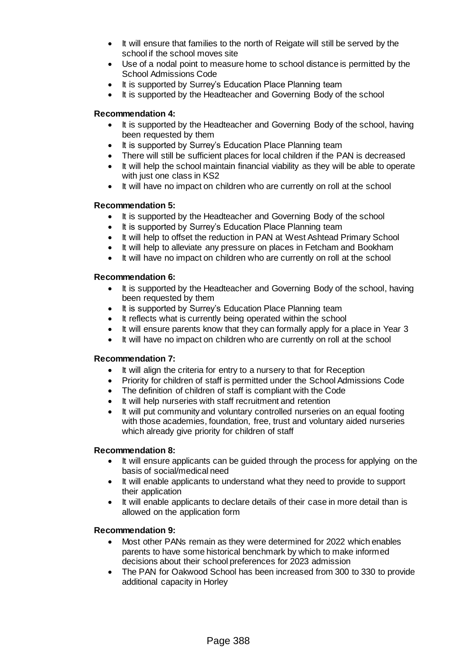- It will ensure that families to the north of Reigate will still be served by the school if the school moves site
- Use of a nodal point to measure home to school distance is permitted by the School Admissions Code
- It is supported by Surrey's Education Place Planning team
- It is supported by the Headteacher and Governing Body of the school

### **Recommendation 4:**

- It is supported by the Headteacher and Governing Body of the school, having been requested by them
- It is supported by Surrey's Education Place Planning team
- There will still be sufficient places for local children if the PAN is decreased
- It will help the school maintain financial viability as they will be able to operate with just one class in KS2
- It will have no impact on children who are currently on roll at the school

#### **Recommendation 5:**

- It is supported by the Headteacher and Governing Body of the school
- It is supported by Surrey's Education Place Planning team
- It will help to offset the reduction in PAN at West Ashtead Primary School
- It will help to alleviate any pressure on places in Fetcham and Bookham
- It will have no impact on children who are currently on roll at the school

#### **Recommendation 6:**

- It is supported by the Headteacher and Governing Body of the school, having been requested by them
- It is supported by Surrey's Education Place Planning team
- It reflects what is currently being operated within the school
- It will ensure parents know that they can formally apply for a place in Year 3
- It will have no impact on children who are currently on roll at the school

#### **Recommendation 7:**

- It will align the criteria for entry to a nursery to that for Reception
- Priority for children of staff is permitted under the School Admissions Code
- The definition of children of staff is compliant with the Code
- It will help nurseries with staff recruitment and retention
- It will put community and voluntary controlled nurseries on an equal footing with those academies, foundation, free, trust and voluntary aided nurseries which already give priority for children of staff

#### **Recommendation 8:**

- It will ensure applicants can be guided through the process for applying on the basis of social/medical need
- It will enable applicants to understand what they need to provide to support their application
- It will enable applicants to declare details of their case in more detail than is allowed on the application form

#### **Recommendation 9:**

- Most other PANs remain as they were determined for 2022 which enables parents to have some historical benchmark by which to make informed decisions about their school preferences for 2023 admission
- The PAN for Oakwood School has been increased from 300 to 330 to provide additional capacity in Horley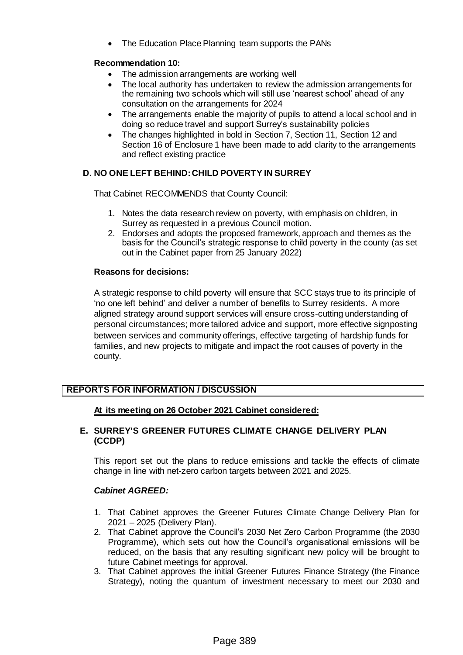The Education Place Planning team supports the PANs

## **Recommendation 10:**

- The admission arrangements are working well
- The local authority has undertaken to review the admission arrangements for the remaining two schools which will still use 'nearest school' ahead of any consultation on the arrangements for 2024
- The arrangements enable the majority of pupils to attend a local school and in doing so reduce travel and support Surrey's sustainability policies
- The changes highlighted in bold in Section 7, Section 11, Section 12 and Section 16 of Enclosure 1 have been made to add clarity to the arrangements and reflect existing practice

# **D. NO ONE LEFT BEHIND: CHILD POVERTY IN SURREY**

That Cabinet RECOMMENDS that County Council:

- 1. Notes the data research review on poverty, with emphasis on children, in Surrey as requested in a previous Council motion.
- 2. Endorses and adopts the proposed framework, approach and themes as the basis for the Council's strategic response to child poverty in the county (as set out in the Cabinet paper from 25 January 2022)

## **Reasons for decisions:**

A strategic response to child poverty will ensure that SCC stays true to its principle of 'no one left behind' and deliver a number of benefits to Surrey residents. A more aligned strategy around support services will ensure cross-cutting understanding of personal circumstances; more tailored advice and support, more effective signposting between services and community offerings, effective targeting of hardship funds for families, and new projects to mitigate and impact the root causes of poverty in the county.

# **REPORTS FOR INFORMATION / DISCUSSION**

# **At its meeting on 26 October 2021 Cabinet considered:**

## **E. SURREY'S GREENER FUTURES CLIMATE CHANGE DELIVERY PLAN (CCDP)**

This report set out the plans to reduce emissions and tackle the effects of climate change in line with net-zero carbon targets between 2021 and 2025.

- 1. That Cabinet approves the Greener Futures Climate Change Delivery Plan for 2021 – 2025 (Delivery Plan).
- 2. That Cabinet approve the Council's 2030 Net Zero Carbon Programme (the 2030 Programme), which sets out how the Council's organisational emissions will be reduced, on the basis that any resulting significant new policy will be brought to future Cabinet meetings for approval.
- 3. That Cabinet approves the initial Greener Futures Finance Strategy (the Finance Strategy), noting the quantum of investment necessary to meet our 2030 and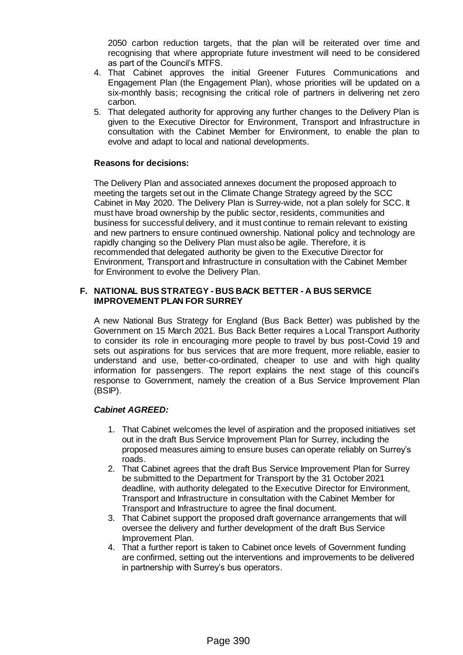2050 carbon reduction targets, that the plan will be reiterated over time and recognising that where appropriate future investment will need to be considered as part of the Council's MTFS.

- 4. That Cabinet approves the initial Greener Futures Communications and Engagement Plan (the Engagement Plan), whose priorities will be updated on a six-monthly basis; recognising the critical role of partners in delivering net zero carbon.
- 5. That delegated authority for approving any further changes to the Delivery Plan is given to the Executive Director for Environment, Transport and Infrastructure in consultation with the Cabinet Member for Environment, to enable the plan to evolve and adapt to local and national developments.

### **Reasons for decisions:**

The Delivery Plan and associated annexes document the proposed approach to meeting the targets set out in the Climate Change Strategy agreed by the SCC Cabinet in May 2020. The Delivery Plan is Surrey-wide, not a plan solely for SCC. It must have broad ownership by the public sector, residents, communities and business for successful delivery, and it must continue to remain relevant to existing and new partners to ensure continued ownership. National policy and technology are rapidly changing so the Delivery Plan must also be agile. Therefore, it is recommended that delegated authority be given to the Executive Director for Environment, Transport and Infrastructure in consultation with the Cabinet Member for Environment to evolve the Delivery Plan.

### **F. NATIONAL BUS STRATEGY - BUS BACK BETTER - A BUS SERVICE IMPROVEMENT PLAN FOR SURREY**

A new National Bus Strategy for England (Bus Back Better) was published by the Government on 15 March 2021. Bus Back Better requires a Local Transport Authority to consider its role in encouraging more people to travel by bus post-Covid 19 and sets out aspirations for bus services that are more frequent, more reliable, easier to understand and use, better-co-ordinated, cheaper to use and with high quality information for passengers. The report explains the next stage of this council's response to Government, namely the creation of a Bus Service Improvement Plan (BSIP).

- 1. That Cabinet welcomes the level of aspiration and the proposed initiatives set out in the draft Bus Service Improvement Plan for Surrey, including the proposed measures aiming to ensure buses can operate reliably on Surrey's roads.
- 2. That Cabinet agrees that the draft Bus Service Improvement Plan for Surrey be submitted to the Department for Transport by the 31 October 2021 deadline, with authority delegated to the Executive Director for Environment, Transport and Infrastructure in consultation with the Cabinet Member for Transport and Infrastructure to agree the final document.
- 3. That Cabinet support the proposed draft governance arrangements that will oversee the delivery and further development of the draft Bus Service Improvement Plan.
- 4. That a further report is taken to Cabinet once levels of Government funding are confirmed, setting out the interventions and improvements to be delivered in partnership with Surrey's bus operators.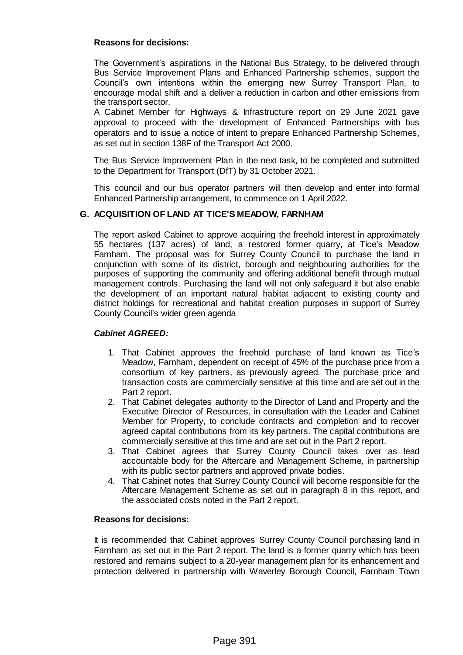#### **Reasons for decisions:**

The Government's aspirations in the National Bus Strategy, to be delivered through Bus Service Improvement Plans and Enhanced Partnership schemes, support the Council's own intentions within the emerging new Surrey Transport Plan, to encourage modal shift and a deliver a reduction in carbon and other emissions from the transport sector.

A Cabinet Member for Highways & Infrastructure report on 29 June 2021 gave approval to proceed with the development of Enhanced Partnerships with bus operators and to issue a notice of intent to prepare Enhanced Partnership Schemes, as set out in section 138F of the Transport Act 2000.

The Bus Service Improvement Plan in the next task, to be completed and submitted to the Department for Transport (DfT) by 31 October 2021.

This council and our bus operator partners will then develop and enter into formal Enhanced Partnership arrangement, to commence on 1 April 2022.

#### **G. ACQUISITION OF LAND AT TICE'S MEADOW, FARNHAM**

The report asked Cabinet to approve acquiring the freehold interest in approximately 55 hectares (137 acres) of land, a restored former quarry, at Tice's Meadow Farnham. The proposal was for Surrey County Council to purchase the land in conjunction with some of its district, borough and neighbouring authorities for the purposes of supporting the community and offering additional benefit through mutual management controls. Purchasing the land will not only safeguard it but also enable the development of an important natural habitat adjacent to existing county and district holdings for recreational and habitat creation purposes in support of Surrey County Council's wider green agenda

### *Cabinet AGREED:*

- 1. That Cabinet approves the freehold purchase of land known as Tice's Meadow, Farnham, dependent on receipt of 45% of the purchase price from a consortium of key partners, as previously agreed. The purchase price and transaction costs are commercially sensitive at this time and are set out in the Part 2 report.
- 2. That Cabinet delegates authority to the Director of Land and Property and the Executive Director of Resources, in consultation with the Leader and Cabinet Member for Property, to conclude contracts and completion and to recover agreed capital contributions from its key partners. The capital contributions are commercially sensitive at this time and are set out in the Part 2 report.
- 3. That Cabinet agrees that Surrey County Council takes over as lead accountable body for the Aftercare and Management Scheme, in partnership with its public sector partners and approved private bodies.
- 4. That Cabinet notes that Surrey County Council will become responsible for the Aftercare Management Scheme as set out in paragraph 8 in this report, and the associated costs noted in the Part 2 report.

#### **Reasons for decisions:**

It is recommended that Cabinet approves Surrey County Council purchasing land in Farnham as set out in the Part 2 report. The land is a former quarry which has been restored and remains subject to a 20-year management plan for its enhancement and protection delivered in partnership with Waverley Borough Council, Farnham Town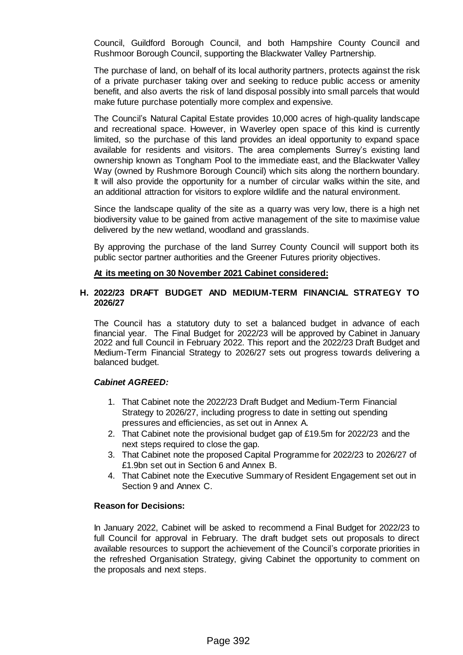Council, Guildford Borough Council, and both Hampshire County Council and Rushmoor Borough Council, supporting the Blackwater Valley Partnership.

The purchase of land, on behalf of its local authority partners, protects against the risk of a private purchaser taking over and seeking to reduce public access or amenity benefit, and also averts the risk of land disposal possibly into small parcels that would make future purchase potentially more complex and expensive.

The Council's Natural Capital Estate provides 10,000 acres of high-quality landscape and recreational space. However, in Waverley open space of this kind is currently limited, so the purchase of this land provides an ideal opportunity to expand space available for residents and visitors. The area complements Surrey's existing land ownership known as Tongham Pool to the immediate east, and the Blackwater Valley Way (owned by Rushmore Borough Council) which sits along the northern boundary. It will also provide the opportunity for a number of circular walks within the site, and an additional attraction for visitors to explore wildlife and the natural environment.

Since the landscape quality of the site as a quarry was very low, there is a high net biodiversity value to be gained from active management of the site to maximise value delivered by the new wetland, woodland and grasslands.

By approving the purchase of the land Surrey County Council will support both its public sector partner authorities and the Greener Futures priority objectives.

#### **At its meeting on 30 November 2021 Cabinet considered:**

#### **H. 2022/23 DRAFT BUDGET AND MEDIUM-TERM FINANCIAL STRATEGY TO 2026/27**

The Council has a statutory duty to set a balanced budget in advance of each financial year. The Final Budget for 2022/23 will be approved by Cabinet in January 2022 and full Council in February 2022. This report and the 2022/23 Draft Budget and Medium-Term Financial Strategy to 2026/27 sets out progress towards delivering a balanced budget.

#### *Cabinet AGREED:*

- 1. That Cabinet note the 2022/23 Draft Budget and Medium-Term Financial Strategy to 2026/27, including progress to date in setting out spending pressures and efficiencies, as set out in Annex A.
- 2. That Cabinet note the provisional budget gap of £19.5m for 2022/23 and the next steps required to close the gap.
- 3. That Cabinet note the proposed Capital Programme for 2022/23 to 2026/27 of £1.9bn set out in Section 6 and Annex B.
- 4. That Cabinet note the Executive Summary of Resident Engagement set out in Section 9 and Annex C.

#### **Reason for Decisions:**

In January 2022, Cabinet will be asked to recommend a Final Budget for 2022/23 to full Council for approval in February. The draft budget sets out proposals to direct available resources to support the achievement of the Council's corporate priorities in the refreshed Organisation Strategy, giving Cabinet the opportunity to comment on the proposals and next steps.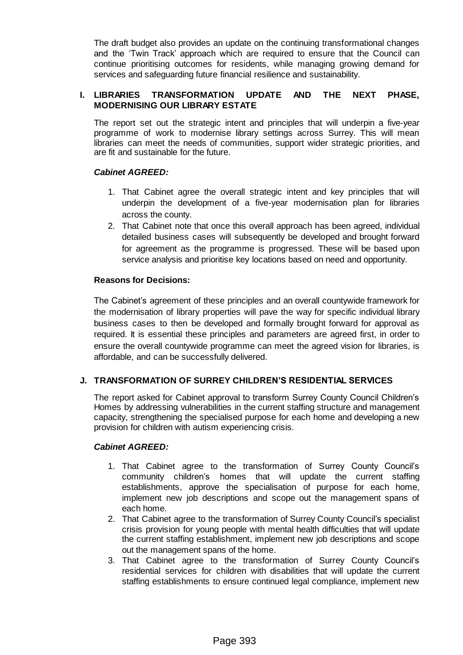The draft budget also provides an update on the continuing transformational changes and the 'Twin Track' approach which are required to ensure that the Council can continue prioritising outcomes for residents, while managing growing demand for services and safeguarding future financial resilience and sustainability.

## **I. LIBRARIES TRANSFORMATION UPDATE AND THE NEXT PHASE, MODERNISING OUR LIBRARY ESTATE**

The report set out the strategic intent and principles that will underpin a five-year programme of work to modernise library settings across Surrey. This will mean libraries can meet the needs of communities, support wider strategic priorities, and are fit and sustainable for the future.

## *Cabinet AGREED:*

- 1. That Cabinet agree the overall strategic intent and key principles that will underpin the development of a five-year modernisation plan for libraries across the county.
- 2. That Cabinet note that once this overall approach has been agreed, individual detailed business cases will subsequently be developed and brought forward for agreement as the programme is progressed. These will be based upon service analysis and prioritise key locations based on need and opportunity.

## **Reasons for Decisions:**

The Cabinet's agreement of these principles and an overall countywide framework for the modernisation of library properties will pave the way for specific individual library business cases to then be developed and formally brought forward for approval as required. It is essential these principles and parameters are agreed first, in order to ensure the overall countywide programme can meet the agreed vision for libraries, is affordable, and can be successfully delivered.

# **J. TRANSFORMATION OF SURREY CHILDREN'S RESIDENTIAL SERVICES**

The report asked for Cabinet approval to transform Surrey County Council Children's Homes by addressing vulnerabilities in the current staffing structure and management capacity, strengthening the specialised purpose for each home and developing a new provision for children with autism experiencing crisis.

- 1. That Cabinet agree to the transformation of Surrey County Council's community children's homes that will update the current staffing establishments, approve the specialisation of purpose for each home, implement new job descriptions and scope out the management spans of each home.
- 2. That Cabinet agree to the transformation of Surrey County Council's specialist crisis provision for young people with mental health difficulties that will update the current staffing establishment, implement new job descriptions and scope out the management spans of the home.
- 3. That Cabinet agree to the transformation of Surrey County Council's residential services for children with disabilities that will update the current staffing establishments to ensure continued legal compliance, implement new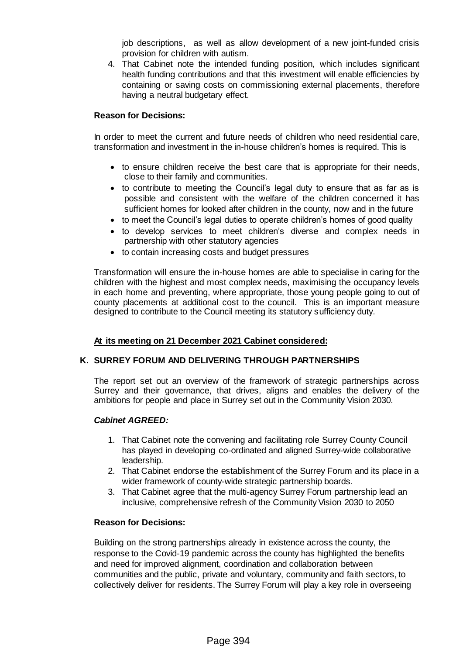job descriptions, as well as allow development of a new joint-funded crisis provision for children with autism.

4. That Cabinet note the intended funding position, which includes significant health funding contributions and that this investment will enable efficiencies by containing or saving costs on commissioning external placements, therefore having a neutral budgetary effect.

#### **Reason for Decisions:**

In order to meet the current and future needs of children who need residential care, transformation and investment in the in-house children's homes is required. This is

- to ensure children receive the best care that is appropriate for their needs, close to their family and communities.
- to contribute to meeting the Council's legal duty to ensure that as far as is possible and consistent with the welfare of the children concerned it has sufficient homes for looked after children in the county, now and in the future
- to meet the Council's legal duties to operate children's homes of good quality
- to develop services to meet children's diverse and complex needs in partnership with other statutory agencies
- to contain increasing costs and budget pressures

Transformation will ensure the in-house homes are able to specialise in caring for the children with the highest and most complex needs, maximising the occupancy levels in each home and preventing, where appropriate, those young people going to out of county placements at additional cost to the council. This is an important measure designed to contribute to the Council meeting its statutory sufficiency duty.

#### **At its meeting on 21 December 2021 Cabinet considered:**

#### **K. SURREY FORUM AND DELIVERING THROUGH PARTNERSHIPS**

The report set out an overview of the framework of strategic partnerships across Surrey and their governance, that drives, aligns and enables the delivery of the ambitions for people and place in Surrey set out in the Community Vision 2030.

#### *Cabinet AGREED:*

- 1. That Cabinet note the convening and facilitating role Surrey County Council has played in developing co-ordinated and aligned Surrey-wide collaborative leadership.
- 2. That Cabinet endorse the establishment of the Surrey Forum and its place in a wider framework of county-wide strategic partnership boards.
- 3. That Cabinet agree that the multi-agency Surrey Forum partnership lead an inclusive, comprehensive refresh of the Community Vision 2030 to 2050

#### **Reason for Decisions:**

Building on the strong partnerships already in existence across the county, the response to the Covid-19 pandemic across the county has highlighted the benefits and need for improved alignment, coordination and collaboration between communities and the public, private and voluntary, community and faith sectors, to collectively deliver for residents. The Surrey Forum will play a key role in overseeing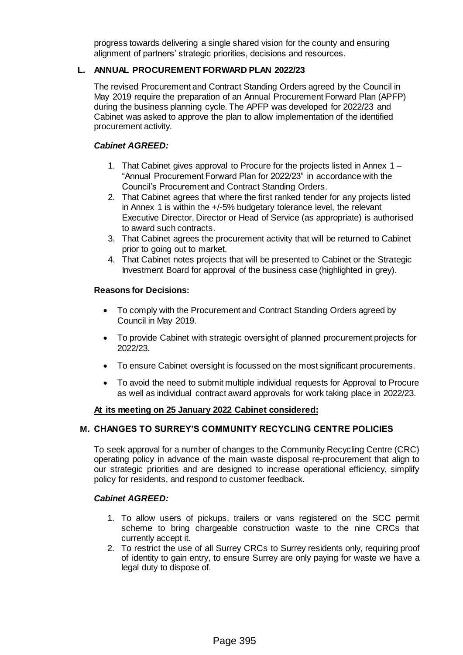progress towards delivering a single shared vision for the county and ensuring alignment of partners' strategic priorities, decisions and resources.

## **L. ANNUAL PROCUREMENT FORWARD PLAN 2022/23**

The revised Procurement and Contract Standing Orders agreed by the Council in May 2019 require the preparation of an Annual Procurement Forward Plan (APFP) during the business planning cycle. The APFP was developed for 2022/23 and Cabinet was asked to approve the plan to allow implementation of the identified procurement activity.

### *Cabinet AGREED:*

- 1. That Cabinet gives approval to Procure for the projects listed in Annex 1 "Annual Procurement Forward Plan for 2022/23" in accordance with the Council's Procurement and Contract Standing Orders.
- 2. That Cabinet agrees that where the first ranked tender for any projects listed in Annex 1 is within the +/-5% budgetary tolerance level, the relevant Executive Director, Director or Head of Service (as appropriate) is authorised to award such contracts.
- 3. That Cabinet agrees the procurement activity that will be returned to Cabinet prior to going out to market.
- 4. That Cabinet notes projects that will be presented to Cabinet or the Strategic Investment Board for approval of the business case (highlighted in grey).

#### **Reasons for Decisions:**

- To comply with the Procurement and Contract Standing Orders agreed by Council in May 2019.
- To provide Cabinet with strategic oversight of planned procurement projects for 2022/23.
- To ensure Cabinet oversight is focussed on the most significant procurements.
- To avoid the need to submit multiple individual requests for Approval to Procure as well as individual contract award approvals for work taking place in 2022/23.

#### **At its meeting on 25 January 2022 Cabinet considered:**

# **M. CHANGES TO SURREY'S COMMUNITY RECYCLING CENTRE POLICIES**

To seek approval for a number of changes to the Community Recycling Centre (CRC) operating policy in advance of the main waste disposal re-procurement that align to our strategic priorities and are designed to increase operational efficiency, simplify policy for residents, and respond to customer feedback.

- 1. To allow users of pickups, trailers or vans registered on the SCC permit scheme to bring chargeable construction waste to the nine CRCs that currently accept it.
- 2. To restrict the use of all Surrey CRCs to Surrey residents only, requiring proof of identity to gain entry, to ensure Surrey are only paying for waste we have a legal duty to dispose of.